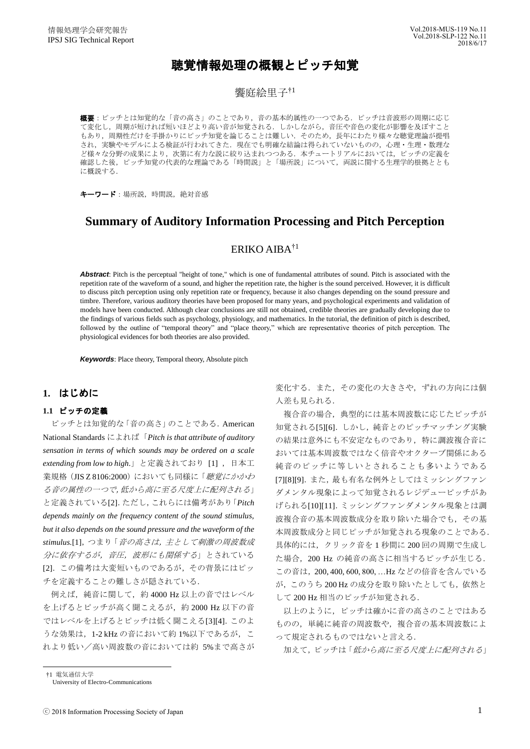# 聴覚情報処理の概観とピッチ知覚

## 饗庭絵里子†1

**概要**:ピッチとは知覚的な「音の高さ」のことであり,音の基本的属性の一つである.ピッチは音波形の周期に応じ て変化し,周期が短ければ短いほどより高い音が知覚される.しかしながら,音圧や音色の変化が影響を及ぼすこと もあり、周期性だけを手掛かりにピッチ知覚を論じることは難しい. そのため、長年にわたり様々な聴覚理論が提唱 され、実験やモデルによる検証が行われてきた. 現在でも明確な結論は得られていないものの、心理・生理・数理な ど様々な分野の成果により、次第に有力な説に絞り込まれつつある. 本チュートリアルにおいては、ピッチの定義を 確認した後、ピッチ知覚の代表的な理論である「時間説」と「場所説」について、両説に関する生理学的根拠ととも に概説する.

キーワード:場所説,時間説,絶対音感

# **Summary of Auditory Information Processing and Pitch Perception**

# ERIKO AIBA $^{\dagger1}$

*Abstract*: Pitch is the perceptual "height of tone," which is one of fundamental attributes of sound. Pitch is associated with the repetition rate of the waveform of a sound, and higher the repetition rate, the higher is the sound perceived. However, it is difficult to discuss pitch perception using only repetition rate or frequency, because it also changes depending on the sound pressure and timbre. Therefore, various auditory theories have been proposed for many years, and psychological experiments and validation of models have been conducted. Although clear conclusions are still not obtained, credible theories are gradually developing due to the findings of various fields such as psychology, physiology, and mathematics. In the tutorial, the definition of pitch is described, followed by the outline of "temporal theory" and "place theory," which are representative theories of pitch perception. The physiological evidences for both theories are also provided.

*Keywords*: Place theory, Temporal theory, Absolute pitch

## **1.** はじめに

## **1.1** ピッチの定義

ピッチとは知覚的な「音の高さ」のことである.American National Standards によれば「*Pitch is that attribute of auditory sensation in terms of which sounds may be ordered on a scale*  extending from low to high.」と定義されており [1], 日本工 業規格(JIS Z 8106:2000)においても同様に「聴覚にかかわ る音の属性の一つで,低から高に至る尺度上に配列される」 と定義されている[2].ただし,これらには備考があり「*Pitch depends mainly on the frequency content of the sound stimulus, but it also depends on the sound pressure and the waveform of the stimulus.*[1],つまり「音の高さは,主として刺激の周波数成 分に依存するが,音圧,波形にも関係する」とされている [2].この備考は大変短いものであるが,その背景にはピッ チを定義することの難しさが隠されている.

例えば、純音に関して、約 4000 Hz 以上の音ではレベル を上げるとピッチが高く聞こえるが,約 2000 Hz 以下の音 ではレベルを上げるとピッチは低く聞こえる[3][4].このよ うな効果は, 1-2 kHz の音において約 1%以下であるが, こ れより低い/高い周波数の音においては約 5%まで高さが 変化する.また、その変化の大きさや、ずれの方向には個 人差も見られる.

複合音の場合,典型的には基本周波数に応じたピッチが 知覚される[5][6].しかし,純音とのピッチマッチング実験 の結果は意外にも不安定なものであり,特に調波複合音に おいては基本周波数ではなく倍音やオクターブ関係にある 純音のピッチに等しいとされることも多いようである [7][8][9].また,最も有名な例外としてはミッシングファン ダメンタル現象によって知覚されるレジデューピッチがあ げられる[10][11].ミッシングファンダメンタル現象とは調 波複合音の基本周波数成分を取り除いた場合でも,その基 本周波数成分と同じピッチが知覚される現象のことである. 具体的には,クリック音を 1 秒間に 200 回の周期で生成し た場合,200 Hz の純音の高さに相当するピッチが生じる. この音は,200, 400, 600, 800, …Hz などの倍音を含んでいる が,このうち 200 Hz の成分を取り除いたとしても,依然と して 200 Hz 相当のピッチが知覚される.

以上のように,ピッチは確かに音の高さのことではある ものの,単純に純音の周波数や,複合音の基本周波数によ って規定されるものではないと言える.

加えて,ピッチは「低から高に至る尺度上に配列される」

†1 電気通信大学

 $\overline{a}$ 

University of Electro-Communications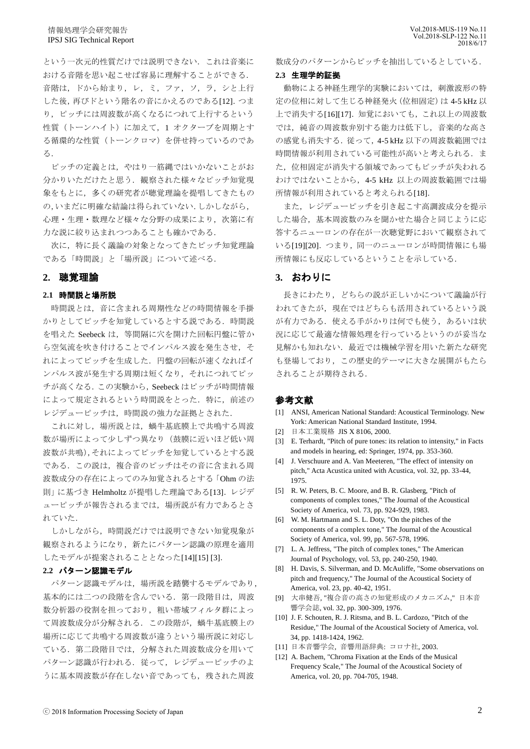という一次元的性質だけでは説明できない.これは音楽に おける音階を思い起こせば容易に理解することができる. 音階は、ドから始まり,レ,ミ,ファ,ソ,ラ,シと上行 した後,再びドという階名の音にかえるのである[12].つま り,ピッチには周波数が高くなるにつれて上行するという 性質(トーンハイト)に加えて、1 オクターブを周期とす る循環的な性質(トーンクロマ)を併せ持っているのであ る.

ピッチの定義とは,やはり一筋縄ではいかないことがお 分かりいただけたと思う.観察された様々なピッチ知覚現 象をもとに,多くの研究者が聴覚理論を提唱してきたもの の,いまだに明確な結論は得られていない.しかしながら, 心理・生理・数理など様々な分野の成果により,次第に有 力な説に絞り込まれつつあることも確かである.

次に,特に長く議論の対象となってきたピッチ知覚理論 である「時間説」と「場所説」について述べる.

### **2.** 聴覚理論

#### **2.1** 時間説と場所説

時間説とは,音に含まれる周期性などの時間情報を手掛 かりとしてピッチを知覚しているとする説である.時間説 を唱えた Seebeck は,等間隔に穴を開けた回転円盤に管か ら空気流を吹き付けることでインパルス波を発生させ、そ れによってピッチを生成した.円盤の回転が速くなればイ ンパルス波が発生する周期は短くなり,それにつれてピッ チが高くなる.この実験から,Seebeck はピッチが時間情報 によって規定されるという時間説をとった.特に,前述の レジデューピッチは,時間説の強力な証拠とされた.

これに対し、場所説とは、蝸牛基底膜上で共鳴する周波 数が場所によって少しずつ異なり(鼓膜に近いほど低い周 波数が共鳴),それによってピッチを知覚しているとする説 である.この説は,複合音のピッチはその音に含まれる周 波数成分の存在によってのみ知覚されるとする「Ohm の法 則」に基づき Helmholtz が提唱した理論である[13].レジデ ューピッチが報告されるまでは,場所説が有力であるとさ れていた.

しかしながら,時間説だけでは説明できない知覚現象が 観察されるようになり,新たにパターン認識の原理を適用 したモデルが提案されることとなった[14][15] [3].

#### **2.2** パターン認識モデル

パターン認識モデルは,場所説を踏襲するモデルであり, 基本的には二つの段階を含んでいる.第一段階目は,周波 数分析器の役割を担っており,粗い帯域フィルタ群によっ て周波数成分が分解される.この段階が,蝸牛基底膜上の 場所に応じて共鳴する周波数が違うという場所説に対応し ている.第二段階目では,分解された周波数成分を用いて パターン認識が行われる. 従って、レジデューピッチのよ うに基本周波数が存在しない音であっても、残された周波

数成分のパターンからピッチを抽出しているとしている.

#### **2.3** 生理学的証拠

動物による神経生理学的実験においては,刺激波形の特 定の位相に対して生じる神経発火(位相固定)は 4-5 kHz 以 上で消失する[16][17].知覚においても,これ以上の周波数 では,純音の周波数弁別する能力は低下し,音楽的な高さ の感覚も消失する. 従って, 4-5 kHz 以下の周波数範囲では 時間情報が利用されている可能性が高いと考えられる.ま た,位相固定が消失する領域であってもピッチが失われる わけではないことから,4-5 kHz 以上の周波数範囲では場 所情報が利用されていると考えられる[18].

また,レジデューピッチを引き起こす高調波成分を提示 した場合,基本周波数のみを聞かせた場合と同じように応 答するニューロンの存在が一次聴覚野において観察されて いる[19][20].つまり,同一のニューロンが時間情報にも場 所情報にも反応しているということを示している.

#### **3.** おわりに

長きにわたり,どちらの説が正しいかについて議論が行 われてきたが,現在ではどちらも活用されているという説 が有力である.使える手がかりは何でも使う,あるいは状 況に応じて最適な情報処理を行っているというのが妥当な 見解かも知れない.最近では機械学習を用いた新たな研究 も登場しており,この歴史的テーマに大きな展開がもたら されることが期待される.

#### 参考文献

- [1] ANSI, American National Standard: Acoustical Terminology. New York: American National Standard Institute, 1994.
- [2] 日本工業規格 JIS X 8106, 2000.
- [3] E. Terhardt, "Pitch of pure tones: its relation to intensity," in Facts and models in hearing, ed: Springer, 1974, pp. 353-360.
- [4] J. Verschuure and A. Van Meeteren, "The effect of intensity on pitch," Acta Acustica united with Acustica, vol. 32, pp. 33-44, 1975.
- [5] R. W. Peters, B. C. Moore, and B. R. Glasberg, "Pitch of components of complex tones," The Journal of the Acoustical Society of America, vol. 73, pp. 924-929, 1983.
- [6] W. M. Hartmann and S. L. Doty, "On the pitches of the components of a complex tone," The Journal of the Acoustical Society of America, vol. 99, pp. 567-578, 1996.
- [7] L. A. Jeffress, "The pitch of complex tones," The American Journal of Psychology, vol. 53, pp. 240-250, 1940.
- [8] H. Davis, S. Silverman, and D. McAuliffe, "Some observations on pitch and frequency," The Journal of the Acoustical Society of America, vol. 23, pp. 40-42, 1951.
- [9] 大串健吾, "複合音の高さの知覚形成のメカニズム," 日本音 響学会誌, vol. 32, pp. 300-309, 1976.
- [10] J. F. Schouten, R. J. Ritsma, and B. L. Cardozo, "Pitch of the Residue," The Journal of the Acoustical Society of America, vol. 34, pp. 1418-1424, 1962.
- [11] 日本音響学会, 音響用語辞典: コロナ社, 2003.
- [12] A. Bachem, "Chroma Fixation at the Ends of the Musical Frequency Scale," The Journal of the Acoustical Society of America, vol. 20, pp. 704-705, 1948.